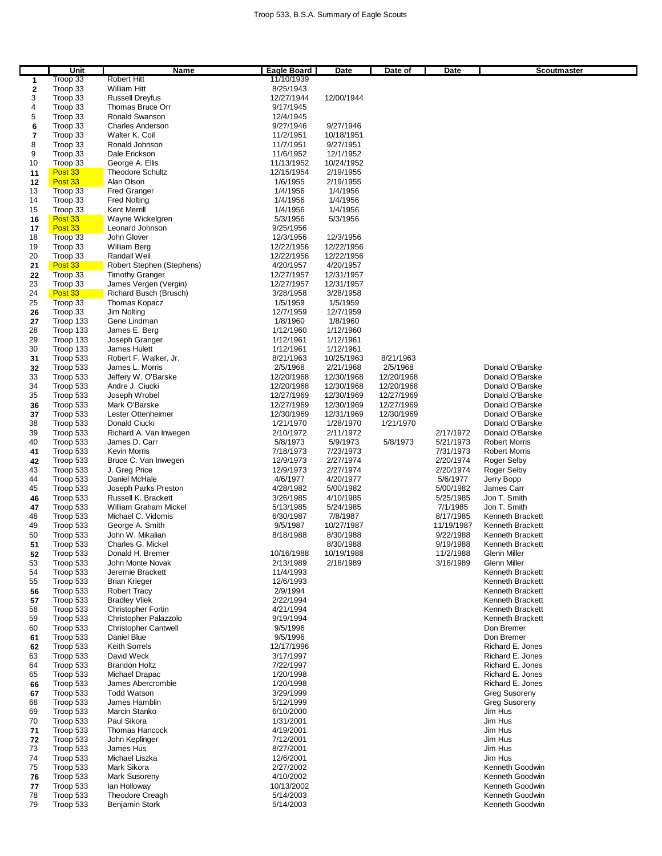|          | Unit                   | Name                                  | Eagle Board            | Date                   | Date of    | Date                   | Scoutmaster                        |
|----------|------------------------|---------------------------------------|------------------------|------------------------|------------|------------------------|------------------------------------|
| 1        | Troop 33               | Robert Hitt                           | 11/10/1939             |                        |            |                        |                                    |
| 2        | Troop 33               | William Hitt                          | 8/25/1943              |                        |            |                        |                                    |
| 3        | Troop 33               | <b>Russell Dreyfus</b>                | 12/27/1944             | 12/00/1944             |            |                        |                                    |
| 4        | Troop 33               | Thomas Bruce Orr                      | 9/17/1945              |                        |            |                        |                                    |
| 5        | Troop 33               | Ronald Swanson                        | 12/4/1945              |                        |            |                        |                                    |
| 6        | Troop 33               | <b>Charles Anderson</b>               | 9/27/1946              | 9/27/1946              |            |                        |                                    |
| 7        | Troop 33               | Walter K. Coil                        | 11/2/1951              | 10/18/1951             |            |                        |                                    |
| 8        | Troop 33               | Ronald Johnson                        | 11/7/1951              | 9/27/1951              |            |                        |                                    |
| 9        | Troop 33               | Dale Erickson                         | 11/6/1952              | 12/1/1952              |            |                        |                                    |
| 10       | Troop 33               | George A. Ellis                       | 11/13/1952             | 10/24/1952             |            |                        |                                    |
| 11       | Post 33                | <b>Theodore Schultz</b>               | 12/15/1954             | 2/19/1955              |            |                        |                                    |
| 12       | Post 33                | Alan Olson                            | 1/6/1955               | 2/19/1955              |            |                        |                                    |
| 13       | Troop 33               | <b>Fred Granger</b>                   | 1/4/1956               | 1/4/1956               |            |                        |                                    |
| 14       | Troop 33               | <b>Fred Nolting</b>                   | 1/4/1956               | 1/4/1956               |            |                        |                                    |
| 15       | Troop 33               | Kent Merrill                          | 1/4/1956               | 1/4/1956               |            |                        |                                    |
| 16       | Post 33                | Wayne Wickelgren                      | 5/3/1956               | 5/3/1956               |            |                        |                                    |
| 17       | Post 33                | Leonard Johnson                       | 9/25/1956              |                        |            |                        |                                    |
| 18       | Troop 33               | John Glover                           | 12/3/1956              | 12/3/1956              |            |                        |                                    |
| 19       | Troop 33               | William Berg                          | 12/22/1956             | 12/22/1956             |            |                        |                                    |
| 20       | Troop 33               | Randall Weil                          | 12/22/1956             | 12/22/1956             |            |                        |                                    |
| 21       | Post 33                | Robert Stephen (Stephens)             | 4/20/1957              | 4/20/1957              |            |                        |                                    |
| 22       | Troop 33               | <b>Timothy Granger</b>                | 12/27/1957             | 12/31/1957             |            |                        |                                    |
| 23       | Troop 33               | James Vergen (Vergin)                 | 12/27/1957             | 12/31/1957             |            |                        |                                    |
| 24       | Post 33                | Richard Busch (Brusch)                | 3/28/1958              | 3/28/1958              |            |                        |                                    |
| 25       | Troop 33               | Thomas Kopacz                         | 1/5/1959               | 1/5/1959               |            |                        |                                    |
| 26       | Troop 33               | <b>Jim Nolting</b>                    | 12/7/1959              | 12/7/1959              |            |                        |                                    |
| 27       | Troop 133              | Gene Lindman                          | 1/8/1960               | 1/8/1960               |            |                        |                                    |
| 28       | Troop 133              | James E. Berg                         | 1/12/1960              | 1/12/1960              |            |                        |                                    |
| 29       | Troop 133              | Joseph Granger                        | 1/12/1961              | 1/12/1961              |            |                        |                                    |
| 30       | Troop 133              | James Hulett                          | 1/12/1961              | 1/12/1961              |            |                        |                                    |
| 31       | Troop 533              | Robert F. Walker, Jr.                 | 8/21/1963              | 10/25/1963             | 8/21/1963  |                        |                                    |
| 32       | Troop 533              | James L. Morris                       | 2/5/1968               | 2/21/1968              | 2/5/1968   |                        | Donald O'Barske                    |
| 33       | Troop 533              | Jeffery W. O'Barske                   | 12/20/1968             | 12/30/1968             | 12/20/1968 |                        | Donald O'Barske                    |
| 34       | Troop 533              | Andre J. Ciucki                       | 12/20/1968             | 12/30/1968             | 12/20/1968 |                        | Donald O'Barske                    |
| 35       | Troop 533              | Joseph Wrobel                         | 12/27/1969             | 12/30/1969             | 12/27/1969 |                        | Donald O'Barske                    |
| 36       | Troop 533              | Mark O'Barske                         | 12/27/1969             | 12/30/1969             | 12/27/1969 |                        | Donald O'Barske                    |
| 37       | Troop 533              | Lester Ottenheimer                    | 12/30/1969             | 12/31/1969             | 12/30/1969 |                        | Donald O'Barske                    |
| 38       | Troop 533              | Donald Ciucki                         | 1/21/1970              | 1/28/1970              | 1/21/1970  |                        | Donald O'Barske                    |
| 39       | Troop 533              | Richard A. Van Inwegen                | 2/10/1972              | 2/11/1972              |            | 2/17/1972              | Donald O'Barske                    |
| 40       | Troop 533              | James D. Carr                         | 5/8/1973               | 5/9/1973               | 5/8/1973   | 5/21/1973              | <b>Robert Morris</b>               |
| 41       | Troop 533              | Kevin Morris                          | 7/18/1973              | 7/23/1973              |            | 7/31/1973              | <b>Robert Morris</b>               |
| 42<br>43 | Troop 533<br>Troop 533 | Bruce C. Van Inwegen<br>J. Greg Price | 12/9/1973<br>12/9/1973 | 2/27/1974<br>2/27/1974 |            | 2/20/1974<br>2/20/1974 | Roger Selby                        |
| 44       | Troop 533              | Daniel McHale                         | 4/6/1977               | 4/20/1977              |            | 5/6/1977               | Roger Selby<br>Jerry Bopp          |
| 45       | Troop 533              | Joseph Parks Preston                  | 4/28/1982              | 5/00/1982              |            | 5/00/1982              | James Carr                         |
| 46       | Troop 533              | Russell K. Brackett                   | 3/26/1985              | 4/10/1985              |            | 5/25/1985              | Jon T. Smith                       |
| 47       | Troop 533              | William Graham Mickel                 | 5/13/1985              | 5/24/1985              |            | 7/1/1985               | Jon T. Smith                       |
| 48       | Troop 533              | Michael C. Vidomis                    | 6/30/1987              | 7/8/1987               |            | 8/17/1985              | Kenneth Brackett                   |
| 49       | Troop 533              | George A. Smith                       | 9/5/1987               | 10/27/1987             |            | 11/19/1987             | Kenneth Brackett                   |
| 50       | Troop 533              | John W. Mikalian                      | 8/18/1988              | 8/30/1988              |            | 9/22/1988              | Kenneth Brackett                   |
| 51       | Troop 533              | Charles G. Mickel                     |                        | 8/30/1988              |            | 9/19/1988              | Kenneth Brackett                   |
| 52       | Troop 533              | Donald H. Bremer                      | 10/16/1988             | 10/19/1988             |            | 11/2/1988              | Glenn Miller                       |
| 53       | Troop 533              | John Monte Novak                      | 2/13/1989              | 2/18/1989              |            | 3/16/1989              | Glenn Miller                       |
| 54       | Troop 533              | Jeremie Brackett                      | 11/4/1993              |                        |            |                        | Kenneth Brackett                   |
| 55       | Troop 533              | Brian Krieger                         | 12/6/1993              |                        |            |                        | Kenneth Brackett                   |
| 56       | Troop 533              | <b>Robert Tracy</b>                   | 2/9/1994               |                        |            |                        | Kenneth Brackett                   |
| 57       | Troop 533              | <b>Bradley Vliek</b>                  | 2/22/1994              |                        |            |                        | Kenneth Brackett                   |
| 58       | Troop 533              | <b>Christopher Fortin</b>             | 4/21/1994              |                        |            |                        | Kenneth Brackett                   |
| 59       | Troop 533              | Christopher Palazzolo                 | 9/19/1994              |                        |            |                        | Kenneth Brackett                   |
| 60       | Troop 533              | <b>Christopher Cantwell</b>           | 9/5/1996               |                        |            |                        | Don Bremer                         |
| 61       | Troop 533              | Daniel Blue                           | 9/5/1996               |                        |            |                        | Don Bremer                         |
| 62       | Troop 533              | <b>Keith Sorrels</b>                  | 12/17/1996             |                        |            |                        | Richard E. Jones                   |
| 63       | Troop 533              | David Weck                            | 3/17/1997              |                        |            |                        | Richard E. Jones                   |
| 64       | Troop 533              | <b>Brandon Holtz</b>                  | 7/22/1997              |                        |            |                        | Richard E. Jones                   |
| 65       | Troop 533              | Michael Drapac                        | 1/20/1998              |                        |            |                        | Richard E. Jones                   |
| 66       | Troop 533              | James Abercrombie                     | 1/20/1998              |                        |            |                        | Richard E. Jones                   |
| 67       | Troop 533              | <b>Todd Watson</b>                    | 3/29/1999              |                        |            |                        | <b>Greg Susoreny</b>               |
| 68       | Troop 533              | James Hamblin                         | 5/12/1999              |                        |            |                        | <b>Greg Susoreny</b>               |
| 69       | Troop 533              | Marcin Stanko                         | 6/10/2000              |                        |            |                        | Jim Hus                            |
| 70       | Troop 533              | Paul Sikora                           | 1/31/2001              |                        |            |                        | Jim Hus                            |
| 71       | Troop 533              | <b>Thomas Hancock</b>                 | 4/19/2001              |                        |            |                        | Jim Hus                            |
| 72       | Troop 533              | John Keplinger                        | 7/12/2001              |                        |            |                        | Jim Hus                            |
| 73       | Troop 533              | James Hus                             | 8/27/2001              |                        |            |                        | Jim Hus                            |
| 74       | Troop 533              | Michael Liszka                        | 12/6/2001              |                        |            |                        | Jim Hus                            |
| 75       | Troop 533              | Mark Sikora                           | 2/27/2002              |                        |            |                        | Kenneth Goodwin                    |
| 76       | Troop 533              | Mark Susoreny                         | 4/10/2002              |                        |            |                        | Kenneth Goodwin                    |
| 77       | Troop 533              | lan Holloway                          | 10/13/2002             |                        |            |                        | Kenneth Goodwin                    |
| 78<br>79 | Troop 533              | Theodore Creagh                       | 5/14/2003<br>5/14/2003 |                        |            |                        | Kenneth Goodwin<br>Kenneth Goodwin |
|          | Troop 533              | Benjamin Stork                        |                        |                        |            |                        |                                    |